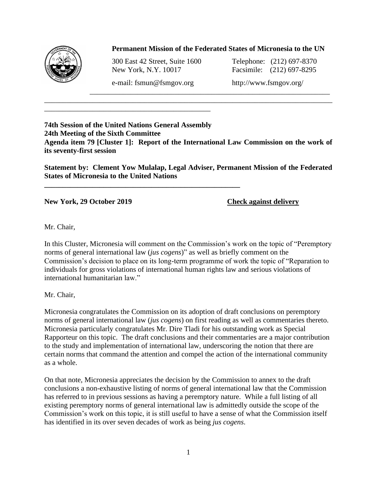

## **Permanent Mission of the Federated States of Micronesia to the UN**

\_\_\_\_\_\_\_\_\_\_\_\_\_\_\_\_\_\_\_\_\_\_\_\_\_\_\_\_\_\_\_\_\_\_\_\_\_\_\_\_\_\_\_\_\_\_\_\_\_\_\_\_\_\_\_\_\_\_\_\_\_\_\_\_\_

300 East 42 Street, Suite 1600 Telephone: (212) 697-8370 New York, N.Y. 10017 Facsimile: (212) 697-8295

e-mail: fsmun@fsmgov.org http://www.fsmgov.org/

\_\_\_\_\_\_\_\_\_\_\_\_\_\_\_\_\_\_\_\_\_\_\_\_\_\_\_\_\_\_\_\_\_\_\_\_\_\_\_\_\_\_\_\_\_

**\_\_\_\_\_\_\_\_\_\_\_\_\_\_\_\_\_\_\_\_\_\_\_\_\_\_\_\_\_\_\_\_\_\_\_\_\_\_\_\_\_\_\_\_\_\_\_\_\_\_\_\_\_**

**74th Session of the United Nations General Assembly 24th Meeting of the Sixth Committee Agenda item 79 [Cluster 1]: Report of the International Law Commission on the work of its seventy-first session**

\_\_\_\_\_\_\_\_\_\_\_\_\_\_\_\_\_\_\_\_\_\_\_\_\_\_\_\_\_\_\_\_\_\_\_\_\_\_\_\_\_\_\_\_\_\_\_\_\_\_\_\_\_\_\_\_\_\_\_\_\_\_\_\_\_\_\_\_\_\_\_\_\_\_\_\_\_\_

**Statement by: Clement Yow Mulalap, Legal Adviser, Permanent Mission of the Federated States of Micronesia to the United Nations**

**New York, 29 October 2019 Check against delivery**

Mr. Chair,

In this Cluster, Micronesia will comment on the Commission's work on the topic of "Peremptory norms of general international law (*jus cogens*)" as well as briefly comment on the Commission's decision to place on its long-term programme of work the topic of "Reparation to individuals for gross violations of international human rights law and serious violations of international humanitarian law."

Mr. Chair,

Micronesia congratulates the Commission on its adoption of draft conclusions on peremptory norms of general international law (*jus cogens*) on first reading as well as commentaries thereto. Micronesia particularly congratulates Mr. Dire Tladi for his outstanding work as Special Rapporteur on this topic. The draft conclusions and their commentaries are a major contribution to the study and implementation of international law, underscoring the notion that there are certain norms that command the attention and compel the action of the international community as a whole.

On that note, Micronesia appreciates the decision by the Commission to annex to the draft conclusions a non-exhaustive listing of norms of general international law that the Commission has referred to in previous sessions as having a peremptory nature. While a full listing of all existing peremptory norms of general international law is admittedly outside the scope of the Commission's work on this topic, it is still useful to have a sense of what the Commission itself has identified in its over seven decades of work as being *jus cogens*.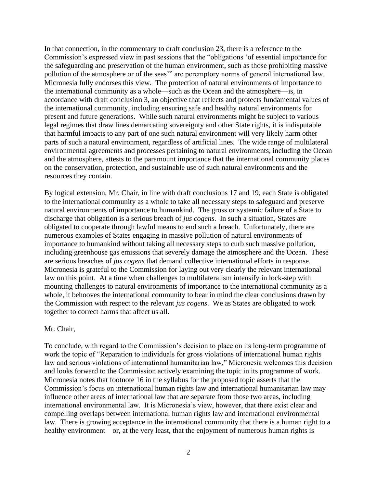In that connection, in the commentary to draft conclusion 23, there is a reference to the Commission's expressed view in past sessions that the "obligations 'of essential importance for the safeguarding and preservation of the human environment, such as those prohibiting massive pollution of the atmosphere or of the seas'" are peremptory norms of general international law. Micronesia fully endorses this view. The protection of natural environments of importance to the international community as a whole—such as the Ocean and the atmosphere—is, in accordance with draft conclusion 3, an objective that reflects and protects fundamental values of the international community, including ensuring safe and healthy natural environments for present and future generations. While such natural environments might be subject to various legal regimes that draw lines demarcating sovereignty and other State rights, it is indisputable that harmful impacts to any part of one such natural environment will very likely harm other parts of such a natural environment, regardless of artificial lines. The wide range of multilateral environmental agreements and processes pertaining to natural environments, including the Ocean and the atmosphere, attests to the paramount importance that the international community places on the conservation, protection, and sustainable use of such natural environments and the resources they contain.

By logical extension, Mr. Chair, in line with draft conclusions 17 and 19, each State is obligated to the international community as a whole to take all necessary steps to safeguard and preserve natural environments of importance to humankind. The gross or systemic failure of a State to discharge that obligation is a serious breach of *jus cogens*. In such a situation, States are obligated to cooperate through lawful means to end such a breach. Unfortunately, there are numerous examples of States engaging in massive pollution of natural environments of importance to humankind without taking all necessary steps to curb such massive pollution, including greenhouse gas emissions that severely damage the atmosphere and the Ocean. These are serious breaches of *jus cogens* that demand collective international efforts in response. Micronesia is grateful to the Commission for laying out very clearly the relevant international law on this point. At a time when challenges to multilateralism intensify in lock-step with mounting challenges to natural environments of importance to the international community as a whole, it behooves the international community to bear in mind the clear conclusions drawn by the Commission with respect to the relevant *jus cogens*. We as States are obligated to work together to correct harms that affect us all.

## Mr. Chair,

To conclude, with regard to the Commission's decision to place on its long-term programme of work the topic of "Reparation to individuals for gross violations of international human rights law and serious violations of international humanitarian law," Micronesia welcomes this decision and looks forward to the Commission actively examining the topic in its programme of work. Micronesia notes that footnote 16 in the syllabus for the proposed topic asserts that the Commission's focus on international human rights law and international humanitarian law may influence other areas of international law that are separate from those two areas, including international environmental law. It is Micronesia's view, however, that there exist clear and compelling overlaps between international human rights law and international environmental law. There is growing acceptance in the international community that there is a human right to a healthy environment—or, at the very least, that the enjoyment of numerous human rights is